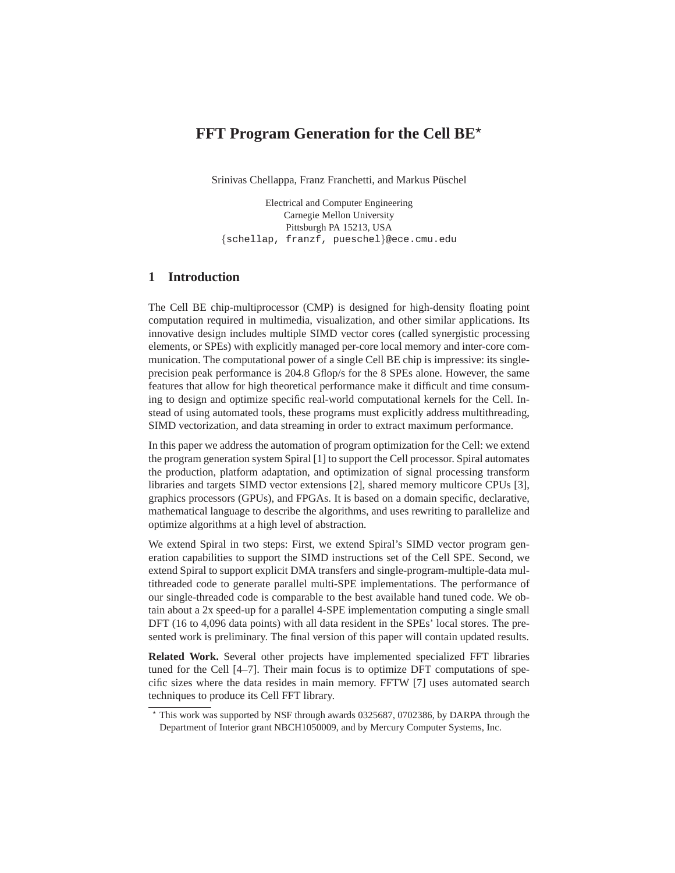# **FFT Program Generation for the Cell BE**<sup> $\star$ </sup>

Srinivas Chellappa, Franz Franchetti, and Markus Püschel

Electrical and Computer Engineering Carnegie Mellon University Pittsburgh PA 15213, USA {schellap, franzf, pueschel}@ece.cmu.edu

### **1 Introduction**

The Cell BE chip-multiprocessor (CMP) is designed for high-density floating point computation required in multimedia, visualization, and other similar applications. Its innovative design includes multiple SIMD vector cores (called synergistic processing elements, or SPEs) with explicitly managed per-core local memory and inter-core communication. The computational power of a single Cell BE chip is impressive: its singleprecision peak performance is 204.8 Gflop/s for the 8 SPEs alone. However, the same features that allow for high theoretical performance make it difficult and time consuming to design and optimize specific real-world computational kernels for the Cell. Instead of using automated tools, these programs must explicitly address multithreading, SIMD vectorization, and data streaming in order to extract maximum performance.

In this paper we address the automation of program optimization for the Cell: we extend the program generation system Spiral [1] to support the Cell processor. Spiral automates the production, platform adaptation, and optimization of signal processing transform libraries and targets SIMD vector extensions [2], shared memory multicore CPUs [3], graphics processors (GPUs), and FPGAs. It is based on a domain specific, declarative, mathematical language to describe the algorithms, and uses rewriting to parallelize and optimize algorithms at a high level of abstraction.

We extend Spiral in two steps: First, we extend Spiral's SIMD vector program generation capabilities to support the SIMD instructions set of the Cell SPE. Second, we extend Spiral to support explicit DMA transfers and single-program-multiple-data multithreaded code to generate parallel multi-SPE implementations. The performance of our single-threaded code is comparable to the best available hand tuned code. We obtain about a 2x speed-up for a parallel 4-SPE implementation computing a single small DFT (16 to 4,096 data points) with all data resident in the SPEs' local stores. The presented work is preliminary. The final version of this paper will contain updated results.

**Related Work.** Several other projects have implemented specialized FFT libraries tuned for the Cell [4–7]. Their main focus is to optimize DFT computations of specific sizes where the data resides in main memory. FFTW [7] uses automated search techniques to produce its Cell FFT library.

<sup>⋆</sup> This work was supported by NSF through awards 0325687, 0702386, by DARPA through the Department of Interior grant NBCH1050009, and by Mercury Computer Systems, Inc.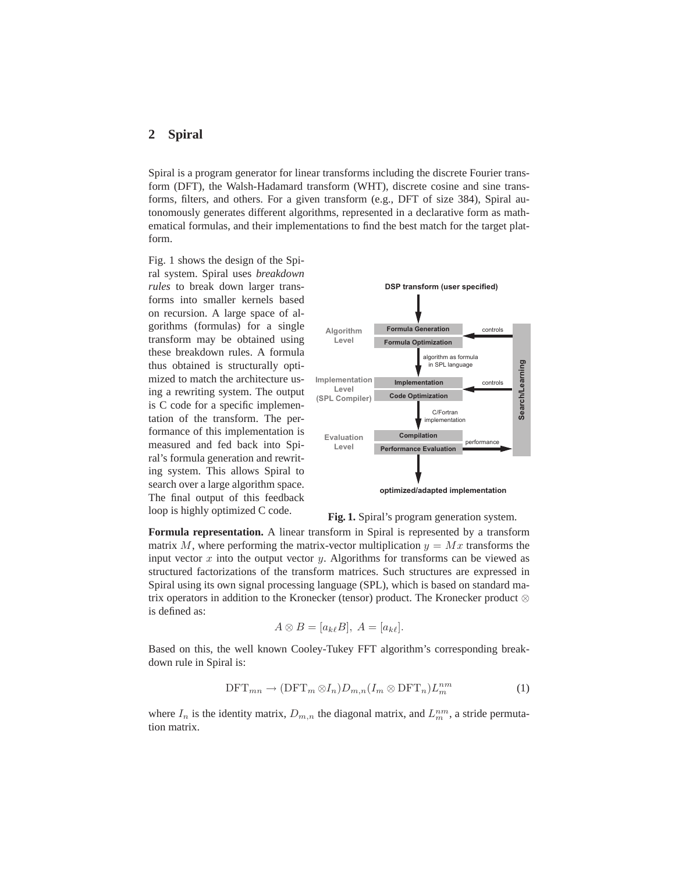# **2 Spiral**

Spiral is a program generator for linear transforms including the discrete Fourier transform (DFT), the Walsh-Hadamard transform (WHT), discrete cosine and sine transforms, filters, and others. For a given transform (e.g., DFT of size 384), Spiral autonomously generates different algorithms, represented in a declarative form as mathematical formulas, and their implementations to find the best match for the target platform.

Fig. 1 shows the design of the Spiral system. Spiral uses *breakdown rules* to break down larger transforms into smaller kernels based on recursion. A large space of algorithms (formulas) for a single transform may be obtained using these breakdown rules. A formula thus obtained is structurally optimized to match the architecture using a rewriting system. The output is C code for a specific implementation of the transform. The performance of this implementation is measured and fed back into Spiral's formula generation and rewriting system. This allows Spiral to search over a large algorithm space. The final output of this feedback loop is highly optimized C code.



**Fig. 1.** Spiral's program generation system.

**Formula representation.** A linear transform in Spiral is represented by a transform matrix M, where performing the matrix-vector multiplication  $y = Mx$  transforms the input vector  $x$  into the output vector  $y$ . Algorithms for transforms can be viewed as structured factorizations of the transform matrices. Such structures are expressed in Spiral using its own signal processing language (SPL), which is based on standard matrix operators in addition to the Kronecker (tensor) product. The Kronecker product ⊗ is defined as:

$$
A \otimes B = [a_{k\ell}B], A = [a_{k\ell}].
$$

Based on this, the well known Cooley-Tukey FFT algorithm's corresponding breakdown rule in Spiral is:

$$
\text{DFT}_{mn} \to (\text{DFT}_m \otimes I_n) D_{m,n} (I_m \otimes \text{DFT}_n) L_m^{nm}
$$
 (1)

where  $I_n$  is the identity matrix,  $D_{m,n}$  the diagonal matrix, and  $L_m^{nm}$ , a stride permutation matrix.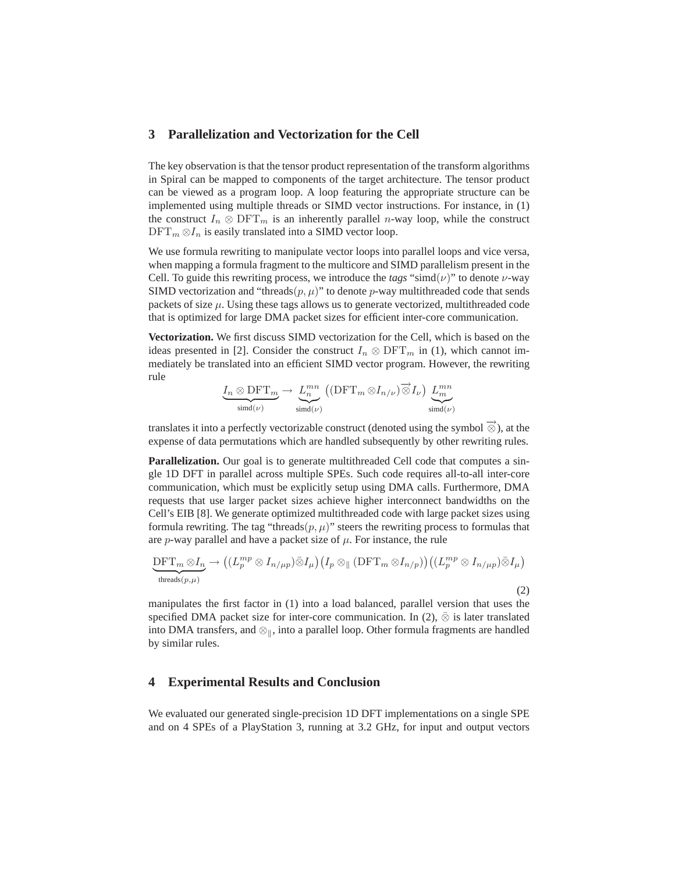## **3 Parallelization and Vectorization for the Cell**

The key observation is that the tensor product representation of the transform algorithms in Spiral can be mapped to components of the target architecture. The tensor product can be viewed as a program loop. A loop featuring the appropriate structure can be implemented using multiple threads or SIMD vector instructions. For instance, in (1) the construct  $I_n \otimes \text{DFT}_m$  is an inherently parallel *n*-way loop, while the construct  $\text{DFT}_m \otimes I_n$  is easily translated into a SIMD vector loop.

We use formula rewriting to manipulate vector loops into parallel loops and vice versa, when mapping a formula fragment to the multicore and SIMD parallelism present in the Cell. To guide this rewriting process, we introduce the  $tags$  "simd( $\nu$ )" to denote  $\nu$ -way SIMD vectorization and "threads $(p, \mu)$ " to denote p-way multithreaded code that sends packets of size  $\mu$ . Using these tags allows us to generate vectorized, multithreaded code that is optimized for large DMA packet sizes for efficient inter-core communication.

**Vectorization.** We first discuss SIMD vectorization for the Cell, which is based on the ideas presented in [2]. Consider the construct  $I_n \otimes \mathrm{DFT}_m$  in (1), which cannot immediately be translated into an efficient SIMD vector program. However, the rewriting rule

$$
\underbrace{I_n \otimes \mathrm{DFT}_m}_{\mathrm{simd}(\nu)} \to \underbrace{L_n^{mn}}_{\mathrm{simd}(\nu)} \left( (\mathrm{DFT}_m \otimes I_{n/\nu}) \overrightarrow{\otimes} I_{\nu} \right) \underbrace{L_m^{mn}}_{\mathrm{simd}(\nu)}
$$

translates it into a perfectly vectorizable construct (denoted using the symbol  $\overrightarrow{\otimes}$ ), at the expense of data permutations which are handled subsequently by other rewriting rules.

Parallelization. Our goal is to generate multithreaded Cell code that computes a single 1D DFT in parallel across multiple SPEs. Such code requires all-to-all inter-core communication, which must be explicitly setup using DMA calls. Furthermore, DMA requests that use larger packet sizes achieve higher interconnect bandwidths on the Cell's EIB [8]. We generate optimized multithreaded code with large packet sizes using formula rewriting. The tag "threads $(p, \mu)$ " steers the rewriting process to formulas that are  $p$ -way parallel and have a packet size of  $\mu$ . For instance, the rule

$$
\underbrace{\mathrm{DFT}_m\otimes I_n}_{\text{threads}(p,\mu)}\to \big((L_p^{mp}\otimes I_{n/\mu p})\bar{\otimes}I_{\mu}\big)\big(I_p\otimes\mathop{\rm [DFT}_m\otimes I_{n/p}\big)\big)\big((L_p^{mp}\otimes I_{n/\mu p})\bar{\otimes}I_{\mu}\big)
$$

(2)

manipulates the first factor in (1) into a load balanced, parallel version that uses the specified DMA packet size for inter-core communication. In (2),  $\bar{\otimes}$  is later translated into DMA transfers, and  $\otimes_{\parallel}$ , into a parallel loop. Other formula fragments are handled by similar rules.

#### **4 Experimental Results and Conclusion**

We evaluated our generated single-precision 1D DFT implementations on a single SPE and on 4 SPEs of a PlayStation 3, running at 3.2 GHz, for input and output vectors